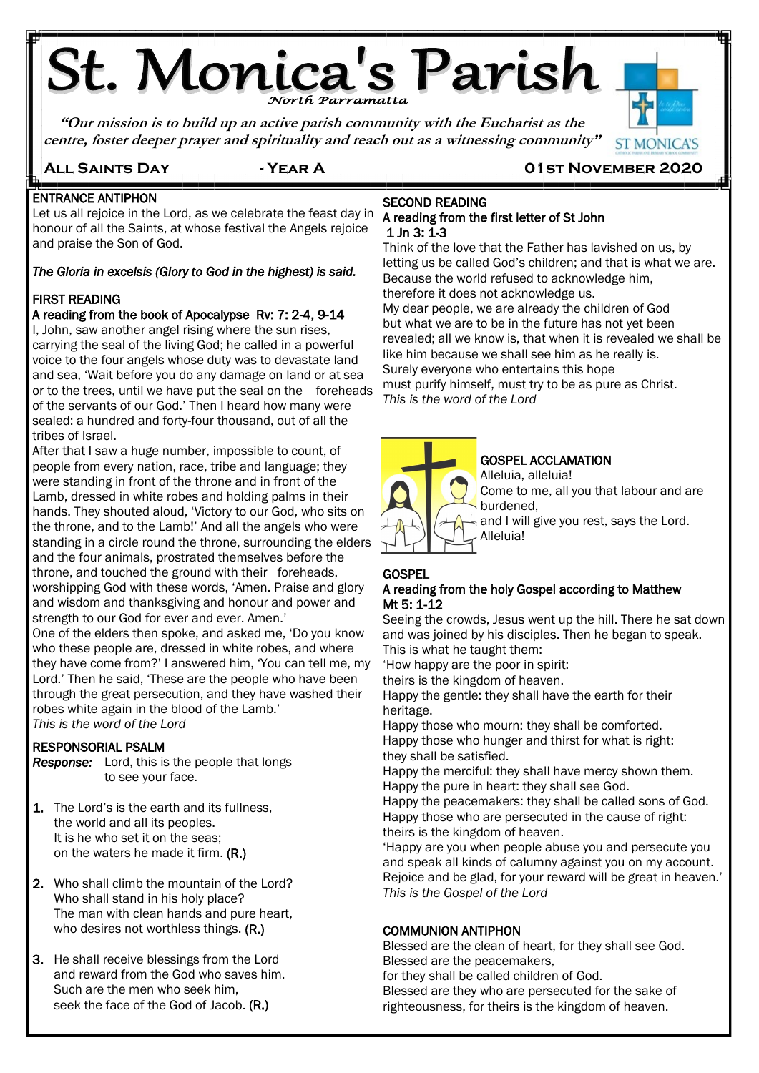# **St. Monica's Parish**

**"Our mission is to build up an active parish community with the Eucharist as the centre, foster deeper prayer and spirituality and reach out as a witnessing community"**



**All Saints Day - Year A 01st November 2020**

#### Ę ENTRANCE ANTIPHON

Let us all rejoice in the Lord, as we celebrate the feast day in honour of all the Saints, at whose festival the Angels rejoice and praise the Son of God.

#### *The Gloria in excelsis (Glory to God in the highest) is said.*

#### FIRST READING

#### A reading from the book of Apocalypse Rv: 7: 2-4, 9-14

I, John, saw another angel rising where the sun rises, carrying the seal of the living God; he called in a powerful voice to the four angels whose duty was to devastate land and sea, 'Wait before you do any damage on land or at sea or to the trees, until we have put the seal on the foreheads of the servants of our God.' Then I heard how many were sealed: a hundred and forty-four thousand, out of all the tribes of Israel.

After that I saw a huge number, impossible to count, of people from every nation, race, tribe and language; they were standing in front of the throne and in front of the Lamb, dressed in white robes and holding palms in their hands. They shouted aloud, 'Victory to our God, who sits on the throne, and to the Lamb!' And all the angels who were standing in a circle round the throne, surrounding the elders and the four animals, prostrated themselves before the throne, and touched the ground with their foreheads, worshipping God with these words, 'Amen. Praise and glory and wisdom and thanksgiving and honour and power and strength to our God for ever and ever. Amen.'

One of the elders then spoke, and asked me, 'Do you know who these people are, dressed in white robes, and where they have come from?' I answered him, 'You can tell me, my Lord.' Then he said, 'These are the people who have been through the great persecution, and they have washed their robes white again in the blood of the Lamb.'

*This is the word of the Lord* j

#### RESPONSORIAL PSALM

*Response:* Lord, this is the people that longs to see your face.

- 1. The Lord's is the earth and its fullness, the world and all its peoples. It is he who set it on the seas; on the waters he made it firm. (R.)
- 2. Who shall climb the mountain of the Lord? Who shall stand in his holy place? The man with clean hands and pure heart, who desires not worthless things. (R.)
- 3. He shall receive blessings from the Lord and reward from the God who saves him. Such are the men who seek him, seek the face of the God of Jacob. (R.)

#### SECOND READING A reading from the first letter of St John 1 Jn 3: 1-3

Think of the love that the Father has lavished on us, by letting us be called God's children; and that is what we are. Because the world refused to acknowledge him, therefore it does not acknowledge us.

My dear people, we are already the children of God but what we are to be in the future has not yet been revealed; all we know is, that when it is revealed we shall be like him because we shall see him as he really is. Surely everyone who entertains this hope must purify himself, must try to be as pure as Christ. *This is the word of the Lord*



#### GOSPEL ACCLAMATION

Alleluia, alleluia! Come to me, all you that labour and are burdened,

 $\perp$  and I will give you rest, says the Lord. Alleluia!

#### **GOSPEL**

#### A reading from the holy Gospel according to Matthew Mt 5: 1-12

Seeing the crowds, Jesus went up the hill. There he sat down and was joined by his disciples. Then he began to speak. This is what he taught them:

'How happy are the poor in spirit:

theirs is the kingdom of heaven.

Happy the gentle: they shall have the earth for their heritage.

Happy those who mourn: they shall be comforted. Happy those who hunger and thirst for what is right: they shall be satisfied.

Happy the merciful: they shall have mercy shown them. Happy the pure in heart: they shall see God.

Happy the peacemakers: they shall be called sons of God. Happy those who are persecuted in the cause of right: theirs is the kingdom of heaven.

'Happy are you when people abuse you and persecute you and speak all kinds of calumny against you on my account. Rejoice and be glad, for your reward will be great in heaven.' *This is the Gospel of the Lord*

#### COMMUNION ANTIPHON

Blessed are the clean of heart, for they shall see God. Blessed are the peacemakers,

for they shall be called children of God.

Blessed are they who are persecuted for the sake of righteousness, for theirs is the kingdom of heaven.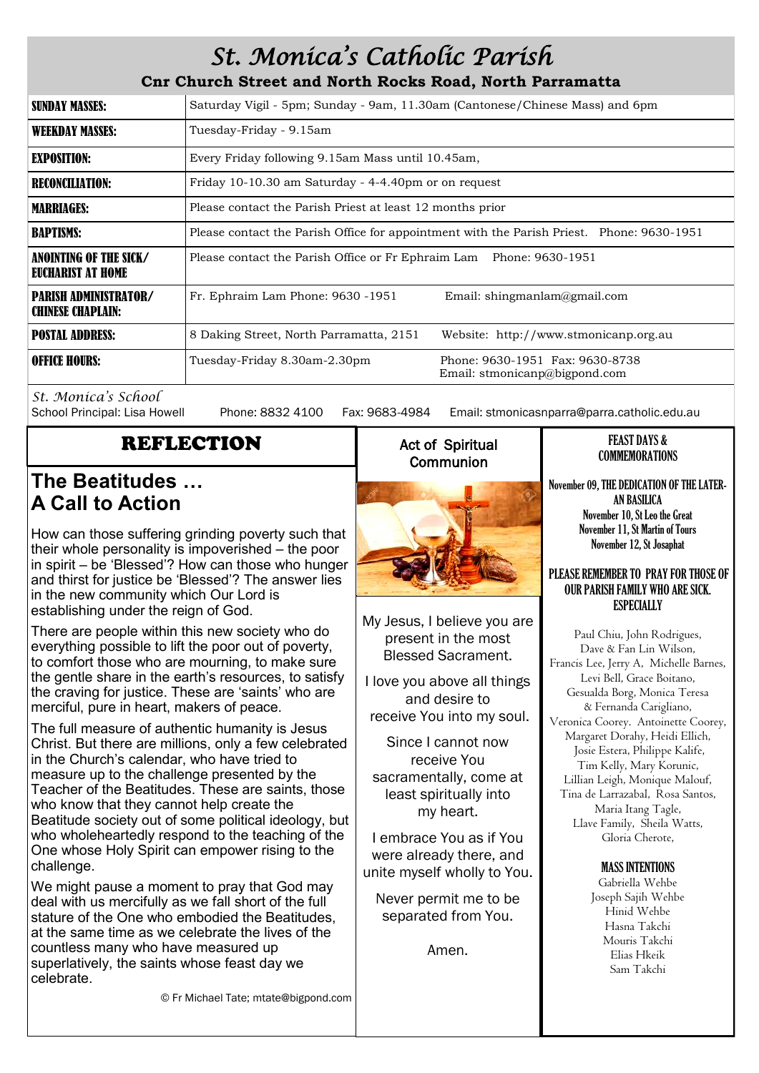# *St. Monica's Catholic Parish*

**Cnr Church Street and North Rocks Road, North Parramatta**

| <b>SUNDAY MASSES:</b>                                    | Saturday Vigil - 5pm; Sunday - 9am, 11.30am (Cantonese/Chinese Mass) and 6pm                     |  |  |  |  |
|----------------------------------------------------------|--------------------------------------------------------------------------------------------------|--|--|--|--|
| <b>WEEKDAY MASSES:</b>                                   | Tuesday-Friday - 9.15am                                                                          |  |  |  |  |
| <b>EXPOSITION:</b>                                       | Every Friday following 9.15am Mass until 10.45am,                                                |  |  |  |  |
| <b>RECONCILIATION:</b>                                   | Friday 10-10.30 am Saturday - 4-4.40pm or on request                                             |  |  |  |  |
| <b>MARRIAGES:</b>                                        | Please contact the Parish Priest at least 12 months prior                                        |  |  |  |  |
| <b>BAPTISMS:</b>                                         | Please contact the Parish Office for appointment with the Parish Priest. Phone: 9630-1951        |  |  |  |  |
| ANOINTING OF THE SICK/<br><b>EUCHARIST AT HOME</b>       | Please contact the Parish Office or Fr Ephraim Lam Phone: 9630-1951                              |  |  |  |  |
| <b>PARISH ADMINISTRATOR/</b><br><b>CHINESE CHAPLAIN:</b> | Fr. Ephraim Lam Phone: 9630 -1951<br>Email: shingmanlam@gmail.com                                |  |  |  |  |
| <b>POSTAL ADDRESS:</b>                                   | 8 Daking Street, North Parramatta, 2151<br>Website: http://www.stmonicanp.org.au                 |  |  |  |  |
| <b>OFFICE HOURS:</b>                                     | Phone: 9630-1951 Fax: 9630-8738<br>Tuesday-Friday 8.30am-2.30pm<br>Email: stmonicanp@bigpond.com |  |  |  |  |

*St. Monica's School*

Phone: 8832 4100 Fax: 9683-4984 Email: stmonicasnparra@parra.catholic.edu.au

# REFLECTION

## **The Beatitudes … A Call to Action**

How can those suffering grinding poverty such that their whole personality is impoverished – the poor in spirit – be 'Blessed'? How can those who hunger and thirst for justice be 'Blessed'? The answer lies in the new community which Our Lord is establishing under the reign of God.

There are people within this new society who do everything possible to lift the poor out of poverty, to comfort those who are mourning, to make sure the gentle share in the earth's resources, to satisfy the craving for justice. These are 'saints' who are merciful, pure in heart, makers of peace.

The full measure of authentic humanity is Jesus Christ. But there are millions, only a few celebrated in the Church's calendar, who have tried to measure up to the challenge presented by the Teacher of the Beatitudes. These are saints, those who know that they cannot help create the Beatitude society out of some political ideology, but who wholeheartedly respond to the teaching of the One whose Holy Spirit can empower rising to the challenge.

We might pause a moment to pray that God may deal with us mercifully as we fall short of the full stature of the One who embodied the Beatitudes at the same time as we celebrate the lives of the countless many who have measured up superlatively, the saints whose feast day we celebrate.

### Act of Spiritual **Communion**



My Jesus, I believe you are present in the most Blessed Sacrament.

I love you above all things and desire to receive You into my soul.

Since I cannot now receive You sacramentally, come at least spiritually into my heart.

I embrace You as if You were already there, and unite myself wholly to You.

Never permit me to be separated from You.

Amen.

#### FEAST DAYS & COMMEMORATIONS

November 09, THE DEDICATION OF THE LATER-AN BASILICA November 10, St Leo the Great November 11, St Martin of Tours November 12, St Josaphat

#### PLEASE REMEMBER TO PRAY FOR THOSE OF OUR PARISH FAMILY WHO ARE SICK. **ESPECIALLY**

Paul Chiu, John Rodrigues, Dave & Fan Lin Wilson, Francis Lee, Jerry A, Michelle Barnes, Levi Bell, Grace Boitano, Gesualda Borg, Monica Teresa & Fernanda Carigliano, Veronica Coorey. Antoinette Coorey, Margaret Dorahy, Heidi Ellich, Josie Estera, Philippe Kalife, Tim Kelly, Mary Korunic, Lillian Leigh, Monique Malouf, Tina de Larrazabal, Rosa Santos, Maria Itang Tagle, Llave Family, Sheila Watts, Gloria Cherote,

#### MASS INTENTIONS

Gabriella Wehbe Joseph Sajih Wehbe Hinid Wehbe Hasna Takchi Mouris Takchi Elias Hkeik Sam Takchi

© Fr Michael Tate; mtate@bigpond.com